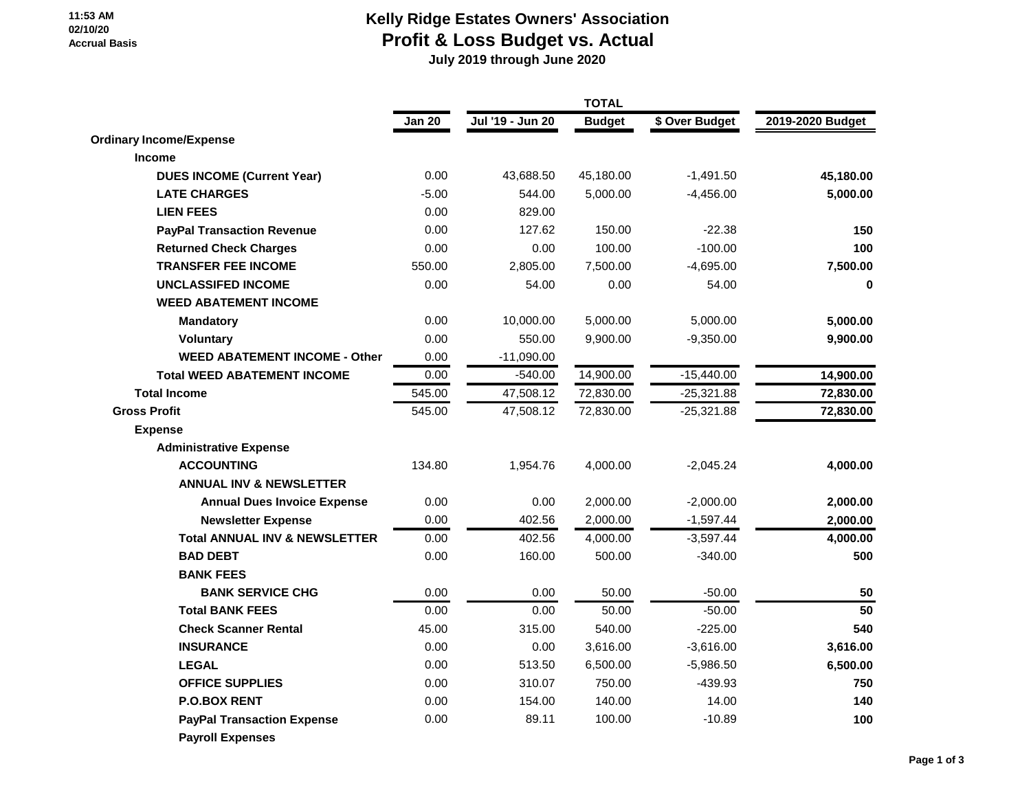### **11:53 AM 02/10/20 Accrual Basis**

# **Kelly Ridge Estates Owners' Association Profit & Loss Budget vs. Actual**

 **July 2019 through June 2020**

|                                          | <b>Jan 20</b> | Jul '19 - Jun 20 | <b>Budget</b> | \$ Over Budget | 2019-2020 Budget |
|------------------------------------------|---------------|------------------|---------------|----------------|------------------|
| <b>Ordinary Income/Expense</b>           |               |                  |               |                |                  |
| Income                                   |               |                  |               |                |                  |
| <b>DUES INCOME (Current Year)</b>        | 0.00          | 43,688.50        | 45,180.00     | $-1,491.50$    | 45,180.00        |
| <b>LATE CHARGES</b>                      | $-5.00$       | 544.00           | 5,000.00      | $-4,456.00$    | 5,000.00         |
| <b>LIEN FEES</b>                         | 0.00          | 829.00           |               |                |                  |
| <b>PayPal Transaction Revenue</b>        | 0.00          | 127.62           | 150.00        | $-22.38$       | 150              |
| <b>Returned Check Charges</b>            | 0.00          | 0.00             | 100.00        | $-100.00$      | 100              |
| <b>TRANSFER FEE INCOME</b>               | 550.00        | 2,805.00         | 7,500.00      | $-4,695.00$    | 7,500.00         |
| <b>UNCLASSIFED INCOME</b>                | 0.00          | 54.00            | 0.00          | 54.00          | 0                |
| <b>WEED ABATEMENT INCOME</b>             |               |                  |               |                |                  |
| <b>Mandatory</b>                         | 0.00          | 10,000.00        | 5,000.00      | 5,000.00       | 5,000.00         |
| <b>Voluntary</b>                         | 0.00          | 550.00           | 9,900.00      | $-9,350.00$    | 9,900.00         |
| <b>WEED ABATEMENT INCOME - Other</b>     | 0.00          | $-11,090.00$     |               |                |                  |
| <b>Total WEED ABATEMENT INCOME</b>       | 0.00          | $-540.00$        | 14,900.00     | $-15,440.00$   | 14,900.00        |
| <b>Total Income</b>                      | 545.00        | 47,508.12        | 72,830.00     | $-25,321.88$   | 72,830.00        |
| <b>Gross Profit</b>                      | 545.00        | 47,508.12        | 72,830.00     | $-25,321.88$   | 72,830.00        |
| <b>Expense</b>                           |               |                  |               |                |                  |
| <b>Administrative Expense</b>            |               |                  |               |                |                  |
| <b>ACCOUNTING</b>                        | 134.80        | 1,954.76         | 4,000.00      | $-2,045.24$    | 4,000.00         |
| <b>ANNUAL INV &amp; NEWSLETTER</b>       |               |                  |               |                |                  |
| <b>Annual Dues Invoice Expense</b>       | 0.00          | 0.00             | 2,000.00      | $-2,000.00$    | 2,000.00         |
| <b>Newsletter Expense</b>                | 0.00          | 402.56           | 2,000.00      | $-1,597.44$    | 2,000.00         |
| <b>Total ANNUAL INV &amp; NEWSLETTER</b> | 0.00          | 402.56           | 4,000.00      | $-3,597.44$    | 4,000.00         |
| <b>BAD DEBT</b>                          | 0.00          | 160.00           | 500.00        | $-340.00$      | 500              |
| <b>BANK FEES</b>                         |               |                  |               |                |                  |
| <b>BANK SERVICE CHG</b>                  | 0.00          | 0.00             | 50.00         | $-50.00$       | 50               |
| <b>Total BANK FEES</b>                   | 0.00          | 0.00             | 50.00         | $-50.00$       | 50               |
| <b>Check Scanner Rental</b>              | 45.00         | 315.00           | 540.00        | $-225.00$      | 540              |
| <b>INSURANCE</b>                         | 0.00          | 0.00             | 3,616.00      | $-3,616.00$    | 3,616.00         |
| <b>LEGAL</b>                             | 0.00          | 513.50           | 6,500.00      | $-5,986.50$    | 6,500.00         |
| <b>OFFICE SUPPLIES</b>                   | 0.00          | 310.07           | 750.00        | $-439.93$      | 750              |
| <b>P.O.BOX RENT</b>                      | 0.00          | 154.00           | 140.00        | 14.00          | 140              |
| <b>PayPal Transaction Expense</b>        | 0.00          | 89.11            | 100.00        | $-10.89$       | 100              |
| <b>Payroll Expenses</b>                  |               |                  |               |                |                  |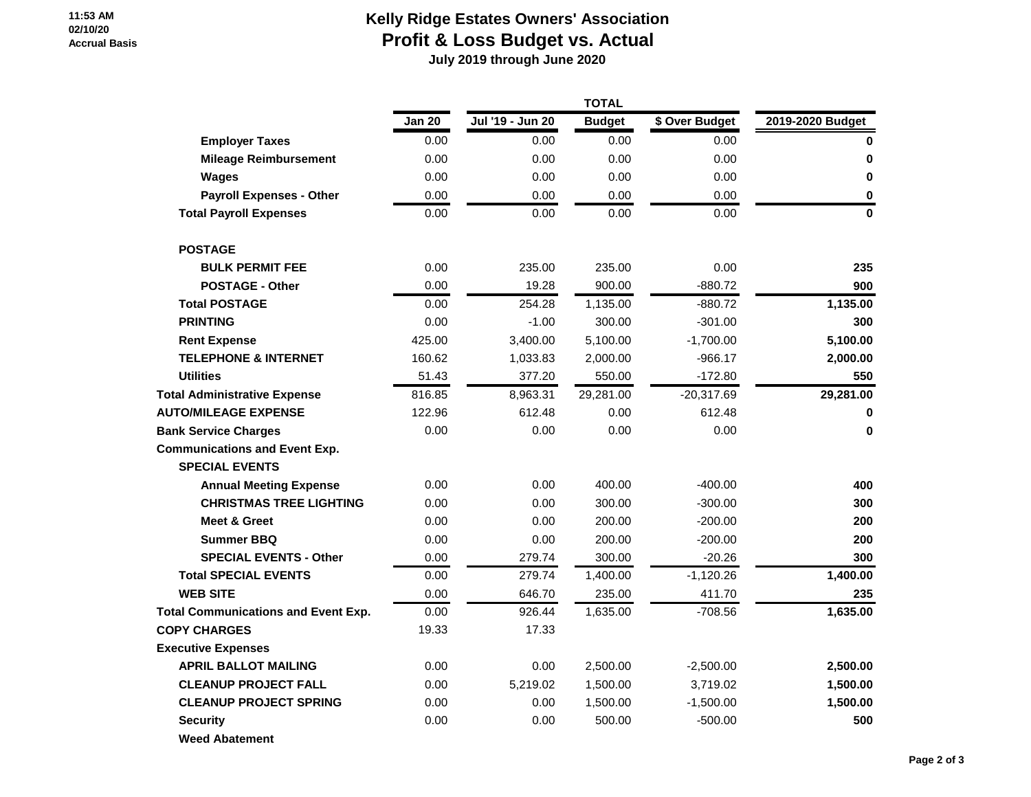### **11:53 AM 02/10/20 Accrual Basis**

### **Kelly Ridge Estates Owners' Association Profit & Loss Budget vs. Actual**

 **July 2019 through June 2020**

|                                            | <b>Jan 20</b> | Jul '19 - Jun 20 | <b>Budget</b> | \$ Over Budget | 2019-2020 Budget |
|--------------------------------------------|---------------|------------------|---------------|----------------|------------------|
| <b>Employer Taxes</b>                      | 0.00          | 0.00             | 0.00          | 0.00           | 0                |
| <b>Mileage Reimbursement</b>               | 0.00          | 0.00             | 0.00          | 0.00           | 0                |
| <b>Wages</b>                               | 0.00          | 0.00             | 0.00          | 0.00           | $\bf{0}$         |
| <b>Payroll Expenses - Other</b>            | 0.00          | 0.00             | 0.00          | 0.00           | $\bf{0}$         |
| <b>Total Payroll Expenses</b>              | 0.00          | 0.00             | 0.00          | 0.00           | 0                |
| <b>POSTAGE</b>                             |               |                  |               |                |                  |
| <b>BULK PERMIT FEE</b>                     | 0.00          | 235.00           | 235.00        | 0.00           | 235              |
| <b>POSTAGE - Other</b>                     | 0.00          | 19.28            | 900.00        | $-880.72$      | 900              |
| <b>Total POSTAGE</b>                       | 0.00          | 254.28           | 1,135.00      | $-880.72$      | 1,135.00         |
| <b>PRINTING</b>                            | 0.00          | $-1.00$          | 300.00        | $-301.00$      | 300              |
| <b>Rent Expense</b>                        | 425.00        | 3,400.00         | 5,100.00      | $-1,700.00$    | 5,100.00         |
| <b>TELEPHONE &amp; INTERNET</b>            | 160.62        | 1,033.83         | 2,000.00      | $-966.17$      | 2,000.00         |
| <b>Utilities</b>                           | 51.43         | 377.20           | 550.00        | $-172.80$      | 550              |
| <b>Total Administrative Expense</b>        | 816.85        | 8,963.31         | 29,281.00     | $-20,317.69$   | 29,281.00        |
| <b>AUTO/MILEAGE EXPENSE</b>                | 122.96        | 612.48           | 0.00          | 612.48         | 0                |
| <b>Bank Service Charges</b>                | 0.00          | 0.00             | 0.00          | 0.00           | 0                |
| <b>Communications and Event Exp.</b>       |               |                  |               |                |                  |
| <b>SPECIAL EVENTS</b>                      |               |                  |               |                |                  |
| <b>Annual Meeting Expense</b>              | 0.00          | 0.00             | 400.00        | $-400.00$      | 400              |
| <b>CHRISTMAS TREE LIGHTING</b>             | 0.00          | 0.00             | 300.00        | $-300.00$      | 300              |
| <b>Meet &amp; Greet</b>                    | 0.00          | 0.00             | 200.00        | $-200.00$      | 200              |
| <b>Summer BBQ</b>                          | 0.00          | 0.00             | 200.00        | $-200.00$      | 200              |
| <b>SPECIAL EVENTS - Other</b>              | 0.00          | 279.74           | 300.00        | $-20.26$       | 300              |
| <b>Total SPECIAL EVENTS</b>                | 0.00          | 279.74           | 1,400.00      | $-1,120.26$    | 1,400.00         |
| <b>WEB SITE</b>                            | 0.00          | 646.70           | 235.00        | 411.70         | 235              |
| <b>Total Communications and Event Exp.</b> | 0.00          | 926.44           | 1,635.00      | $-708.56$      | 1,635.00         |
| <b>COPY CHARGES</b>                        | 19.33         | 17.33            |               |                |                  |
| <b>Executive Expenses</b>                  |               |                  |               |                |                  |
| <b>APRIL BALLOT MAILING</b>                | 0.00          | 0.00             | 2,500.00      | $-2,500.00$    | 2,500.00         |
| <b>CLEANUP PROJECT FALL</b>                | 0.00          | 5,219.02         | 1,500.00      | 3,719.02       | 1,500.00         |
| <b>CLEANUP PROJECT SPRING</b>              | 0.00          | 0.00             | 1,500.00      | $-1,500.00$    | 1,500.00         |
| <b>Security</b>                            | 0.00          | 0.00             | 500.00        | $-500.00$      | 500              |
| <b>Weed Abatement</b>                      |               |                  |               |                |                  |